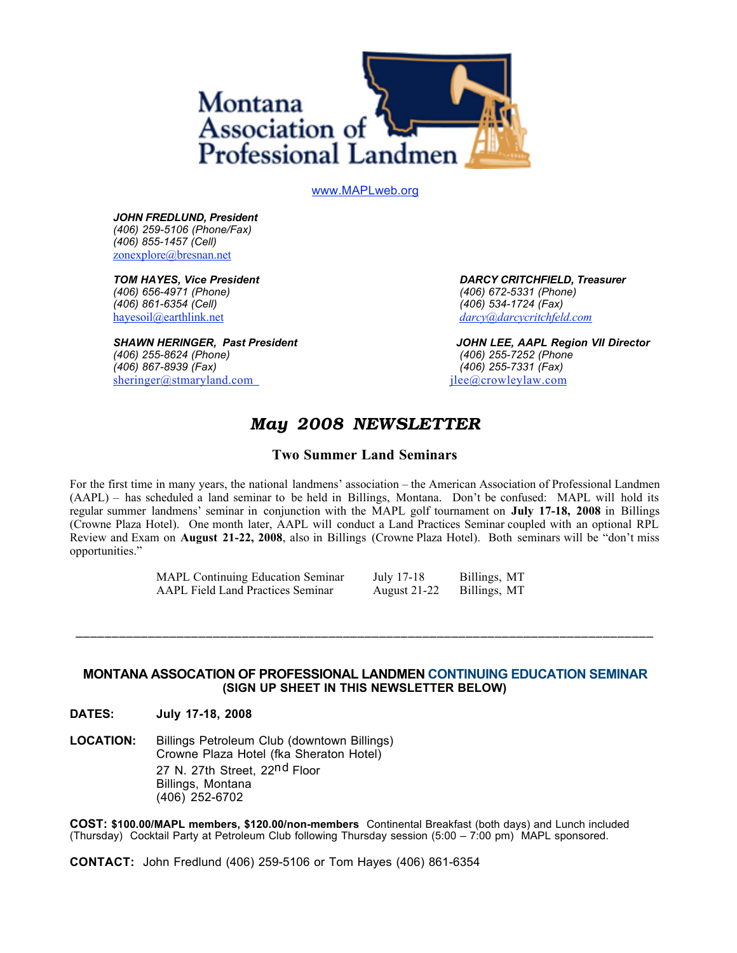

www.MAPLweb.org

*JOHN FREDLUND, President (406) 259-5106 (Phone/Fax) (406) 855-1457 (Cell)* zonexplore@bresnan.net

*(406) 656-4971 (Phone) (406) 672-5331 (Phone) (406) 861-6354 (Cell)* hayesoil@earthlink.net *darcy@darcycritchfeld.com*

*(406) 867-8939 (Fax) (406) 255-7331 (Fax)* sheringer@stmaryland.com jlee@crowleylaw.com

*TOM HAYES, Vice President DARCY CRITCHFIELD, Treasurer*

*SHAWN HERINGER, Past President JOHN LEE, AAPL Region VII Director (406) 255-8624 (Phone) (406) 255-7252 (Phone* 

## *May 2008 NEWSLETTER*

#### **Two Summer Land Seminars**

For the first time in many years, the national landmens' association – the American Association of Professional Landmen (AAPL) – has scheduled a land seminar to be held in Billings, Montana. Don't be confused: MAPL will hold its regular summer landmens' seminar in conjunction with the MAPL golf tournament on **July 17-18, 2008** in Billings (Crowne Plaza Hotel). One month later, AAPL will conduct a Land Practices Seminar coupled with an optional RPL Review and Exam on **August 21-22, 2008**, also in Billings (Crowne Plaza Hotel). Both seminars will be "don't miss opportunities."

> MAPL Continuing Education Seminar July 17-18 Billings, MT AAPL Field Land Practices Seminar August 21-22 Billings, MT

#### **MONTANA ASSOCATION OF PROFESSIONAL LANDMEN CONTINUING EDUCATION SEMINAR (SIGN UP SHEET IN THIS NEWSLETTER BELOW)**

**\_\_\_\_\_\_\_\_\_\_\_\_\_\_\_\_\_\_\_\_\_\_\_\_\_\_\_\_\_\_\_\_\_\_\_\_\_\_\_\_\_\_\_\_\_\_\_\_\_\_\_\_\_\_\_\_\_\_\_\_\_\_\_\_\_\_\_\_\_\_\_\_\_\_\_\_\_\_\_\_**

**DATES: July 17-18, 2008** 

**LOCATION:** Billings Petroleum Club (downtown Billings) Crowne Plaza Hotel (fka Sheraton Hotel) 27 N. 27th Street, 22<sup>nd</sup> Floor Billings, Montana (406) 252-6702

**COST: \$100.00/MAPL members, \$120.00/non-members** Continental Breakfast (both days) and Lunch included (Thursday) Cocktail Party at Petroleum Club following Thursday session (5:00 – 7:00 pm) MAPL sponsored.

**CONTACT:** John Fredlund (406) 259-5106 or Tom Hayes (406) 861-6354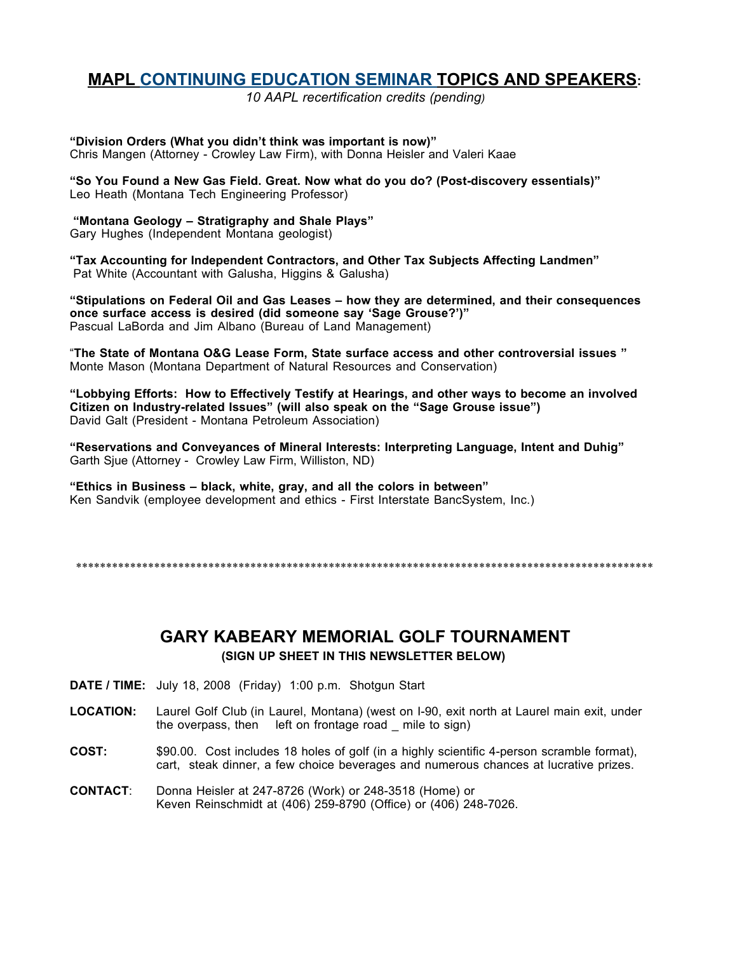## **MAPL CONTINUING EDUCATION SEMINAR TOPICS AND SPEAKERS:**

*10 AAPL recertification credits (pending)*

**"Division Orders (What you didn't think was important is now)"**  Chris Mangen (Attorney - Crowley Law Firm), with Donna Heisler and Valeri Kaae

**"So You Found a New Gas Field. Great. Now what do you do? (Post-discovery essentials)"** Leo Heath (Montana Tech Engineering Professor)

**"Montana Geology – Stratigraphy and Shale Plays"**  Gary Hughes (Independent Montana geologist)

**"Tax Accounting for Independent Contractors, and Other Tax Subjects Affecting Landmen"** Pat White (Accountant with Galusha, Higgins & Galusha)

**"Stipulations on Federal Oil and Gas Leases – how they are determined, and their consequences once surface access is desired (did someone say 'Sage Grouse?')"** Pascual LaBorda and Jim Albano (Bureau of Land Management)

"**The State of Montana O&G Lease Form, State surface access and other controversial issues "** Monte Mason (Montana Department of Natural Resources and Conservation)

**"Lobbying Efforts: How to Effectively Testify at Hearings, and other ways to become an involved Citizen on Industry-related Issues" (will also speak on the "Sage Grouse issue")**  David Galt (President - Montana Petroleum Association)

**"Reservations and Conveyances of Mineral Interests: Interpreting Language, Intent and Duhig"**  Garth Sjue (Attorney - Crowley Law Firm, Williston, ND)

**"Ethics in Business – black, white, gray, and all the colors in between"** Ken Sandvik (employee development and ethics - First Interstate BancSystem, Inc.)

\*\*\*\*\*\*\*\*\*\*\*\*\*\*\*\*\*\*\*\*\*\*\*\*\*\*\*\*\*\*\*\*\*\*\*\*\*\*\*\*\*\*\*\*\*\*\*\*\*\*\*\*\*\*\*\*\*\*\*\*\*\*\*\*\*\*\*\*\*\*\*\*\*\*\*\*\*\*\*\*\*\*\*\*\*\*\*\*\*\*\*\*\*\*\*\*

### **GARY KABEARY MEMORIAL GOLF TOURNAMENT (SIGN UP SHEET IN THIS NEWSLETTER BELOW)**

- **DATE / TIME:** July 18, 2008 (Friday) 1:00 p.m. Shotgun Start
- **LOCATION:** Laurel Golf Club (in Laurel, Montana) (west on I-90, exit north at Laurel main exit, under the overpass, then left on frontage road \_ mile to sign)
- **COST:** \$90.00. Cost includes 18 holes of golf (in a highly scientific 4-person scramble format), cart, steak dinner, a few choice beverages and numerous chances at lucrative prizes.
- **CONTACT**: Donna Heisler at 247-8726 (Work) or 248-3518 (Home) or Keven Reinschmidt at (406) 259-8790 (Office) or (406) 248-7026.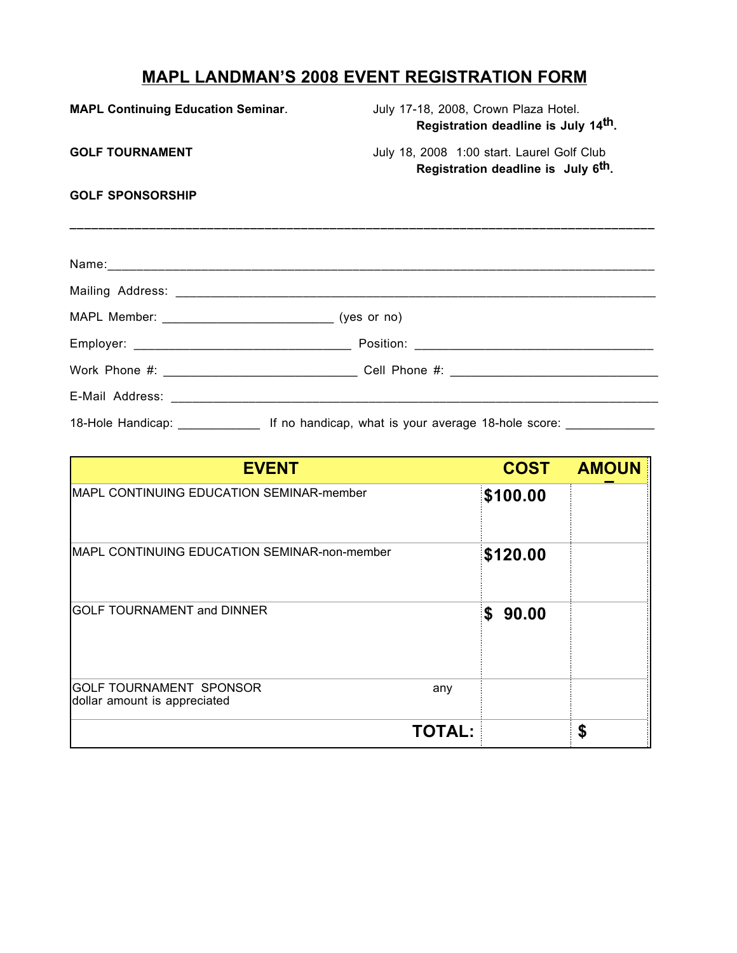# **MAPL LANDMAN'S 2008 EVENT REGISTRATION FORM**

| <b>MAPL Continuing Education Seminar.</b> | July 17-18, 2008, Crown Plaza Hotel.<br>Registration deadline is July 14th.                                   |
|-------------------------------------------|---------------------------------------------------------------------------------------------------------------|
| <b>GOLF TOURNAMENT</b>                    | July 18, 2008 1:00 start. Laurel Golf Club<br>Registration deadline is July 6 <sup>th</sup> .                 |
| <b>GOLF SPONSORSHIP</b>                   |                                                                                                               |
|                                           |                                                                                                               |
|                                           |                                                                                                               |
|                                           |                                                                                                               |
|                                           |                                                                                                               |
|                                           |                                                                                                               |
|                                           |                                                                                                               |
|                                           | 18-Hole Handicap: _______________________ If no handicap, what is your average 18-hole score: _______________ |

| <b>EVENT</b>                                                   |               | <b>COST</b> | <b>AMOUN</b> |
|----------------------------------------------------------------|---------------|-------------|--------------|
| <b>IMAPL CONTINUING EDUCATION SEMINAR-member</b>               |               | \$100.00    |              |
| MAPL CONTINUING EDUCATION SEMINAR-non-member                   |               | \$120.00    |              |
| <b>GOLF TOURNAMENT and DINNER</b>                              |               | 90.00<br>\$ |              |
| <b>GOLF TOURNAMENT SPONSOR</b><br>dollar amount is appreciated | any           |             |              |
|                                                                | <b>TOTAL:</b> |             | \$           |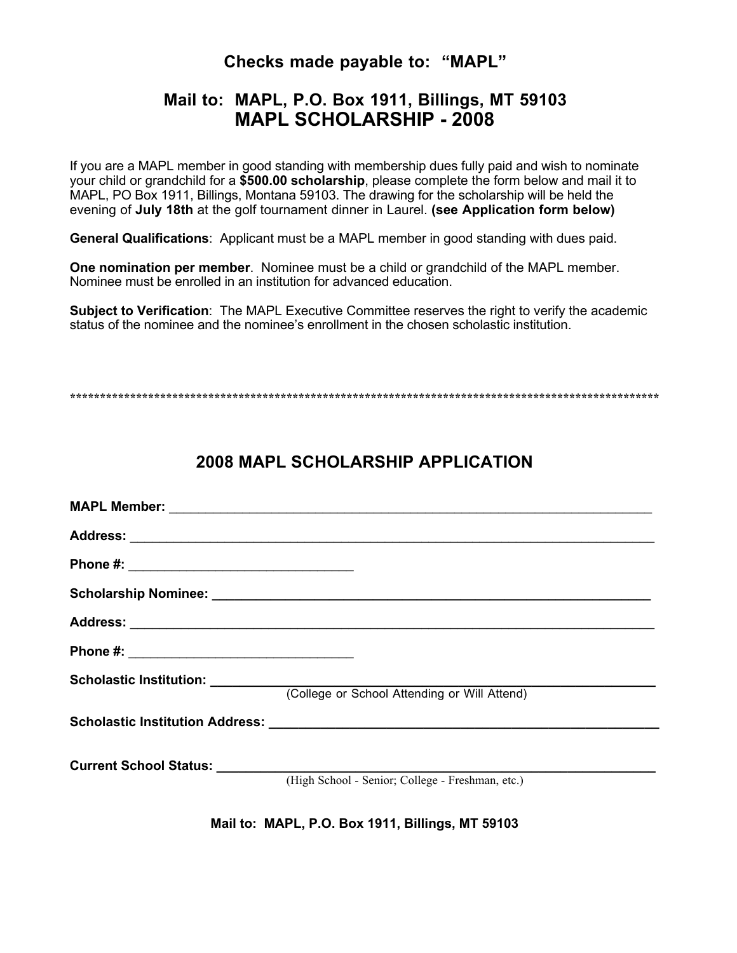### **Checks made payable to: "MAPL"**

## **Mail to: MAPL, P.O. Box 1911, Billings, MT 59103 MAPL SCHOLARSHIP - 2008**

If you are a MAPL member in good standing with membership dues fully paid and wish to nominate your child or grandchild for a **\$500.00 scholarship**, please complete the form below and mail it to MAPL, PO Box 1911, Billings, Montana 59103. The drawing for the scholarship will be held the evening of **July 18th** at the golf tournament dinner in Laurel. **(see Application form below)**

**General Qualifications**: Applicant must be a MAPL member in good standing with dues paid.

**One nomination per member**. Nominee must be a child or grandchild of the MAPL member. Nominee must be enrolled in an institution for advanced education.

**Subject to Verification**: The MAPL Executive Committee reserves the right to verify the academic status of the nominee and the nominee's enrollment in the chosen scholastic institution.

**\*\*\*\*\*\*\*\*\*\*\*\*\*\*\*\*\*\*\*\*\*\*\*\*\*\*\*\*\*\*\*\*\*\*\*\*\*\*\*\*\*\*\*\*\*\*\*\*\*\*\*\*\*\*\*\*\*\*\*\*\*\*\*\*\*\*\*\*\*\*\*\*\*\*\*\*\*\*\*\*\*\*\*\*\*\*\*\*\*\*\*\*\*\*\*\*\*\***

# **2008 MAPL SCHOLARSHIP APPLICATION**

| (College or School Attending or Will Attend)     |
|--------------------------------------------------|
|                                                  |
| (High School - Senior; College - Freshman, etc.) |
|                                                  |

**Mail to: MAPL, P.O. Box 1911, Billings, MT 59103**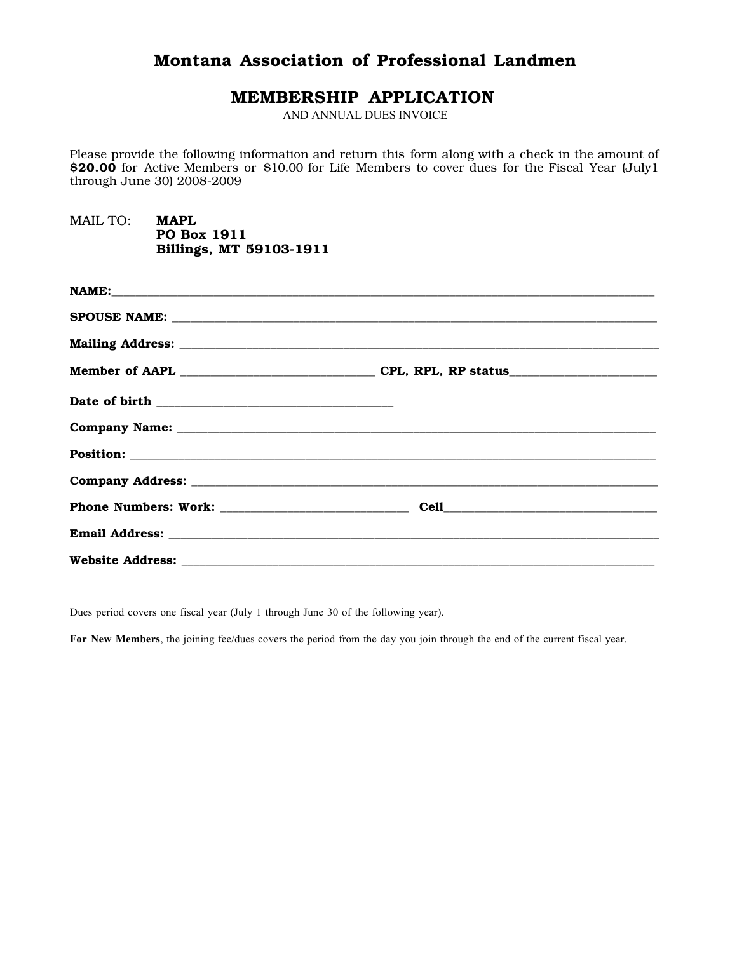## Montana Association of Professional Landmen

#### MEMBERSHIP APPLICATION

AND ANNUAL DUES INVOICE

Please provide the following information and return this form along with a check in the amount of \$20.00 for Active Members or \$10.00 for Life Members to cover dues for the Fiscal Year (July1 through June 30) 2008-2009

MAIL TO: MAPL PO Box 1911 Billings, MT 59103-1911

Dues period covers one fiscal year (July 1 through June 30 of the following year).

For New Members, the joining fee/dues covers the period from the day you join through the end of the current fiscal year.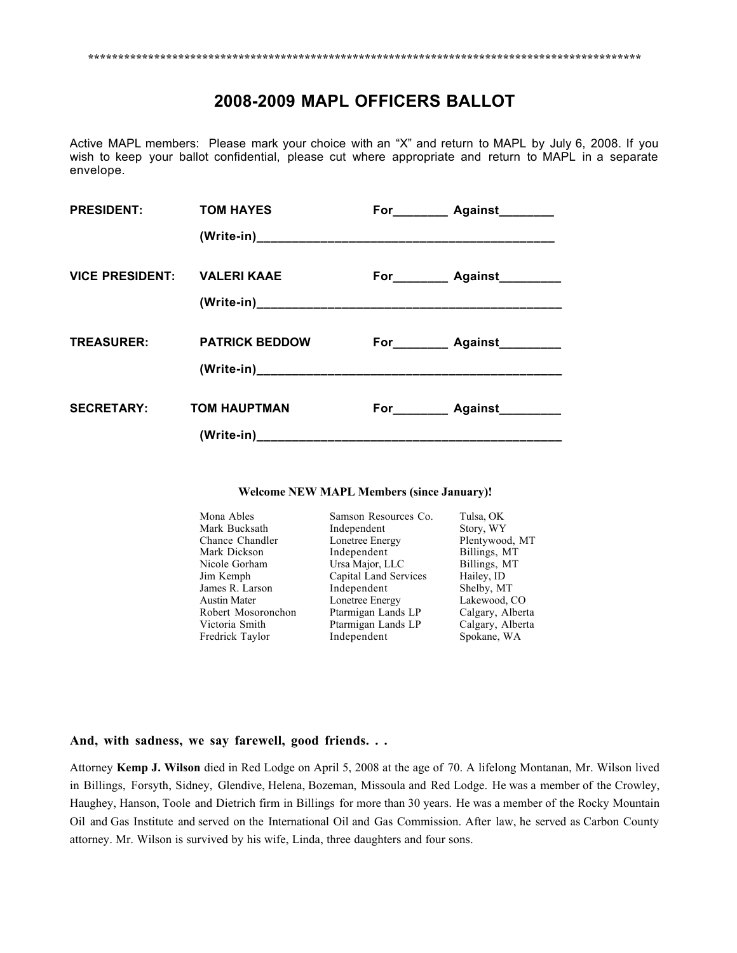# **2008-2009 MAPL OFFICERS BALLOT**

Active MAPL members: Please mark your choice with an "X" and return to MAPL by July 6, 2008. If you wish to keep your ballot confidential, please cut where appropriate and return to MAPL in a separate envelope.

| <b>PRESIDENT:</b>           | <b>TOM HAYES</b>      | For___________ Against_________   |
|-----------------------------|-----------------------|-----------------------------------|
|                             |                       |                                   |
| VICE PRESIDENT: VALERI KAAE |                       | For___________ Against__________  |
| <b>TREASURER:</b>           | <b>PATRICK BEDDOW</b> | For___________ Against___________ |
| <b>SECRETARY:</b>           | <b>TOM HAUPTMAN</b>   | For___________ Against___________ |

#### **Welcome NEW MAPL Members (since January)!**

| Mona Ables          | Samson Resources Co.  | Tulsa, OK        |
|---------------------|-----------------------|------------------|
| Mark Bucksath       | Independent           | Story, WY        |
| Chance Chandler     | Lonetree Energy       | Plentywood, MT   |
| Mark Dickson        | Independent           | Billings, MT     |
| Nicole Gorham       | Ursa Major, LLC       | Billings, MT     |
| Jim Kemph           | Capital Land Services | Hailey, ID       |
| James R. Larson     | Independent           | Shelby, MT       |
| <b>Austin Mater</b> | Lonetree Energy       | Lakewood, CO     |
| Robert Mosoronchon  | Ptarmigan Lands LP    | Calgary, Alberta |
| Victoria Smith      | Ptarmigan Lands LP    | Calgary, Alberta |
| Fredrick Taylor     | Independent           | Spokane, WA      |

#### **And, with sadness, we say farewell, good friends. . .**

Attorney **Kemp J. Wilson** died in Red Lodge on April 5, 2008 at the age of 70. A lifelong Montanan, Mr. Wilson lived in Billings, Forsyth, Sidney, Glendive, Helena, Bozeman, Missoula and Red Lodge. He was a member of the Crowley, Haughey, Hanson, Toole and Dietrich firm in Billings for more than 30 years. He was a member of the Rocky Mountain Oil and Gas Institute and served on the International Oil and Gas Commission. After law, he served as Carbon County attorney. Mr. Wilson is survived by his wife, Linda, three daughters and four sons.